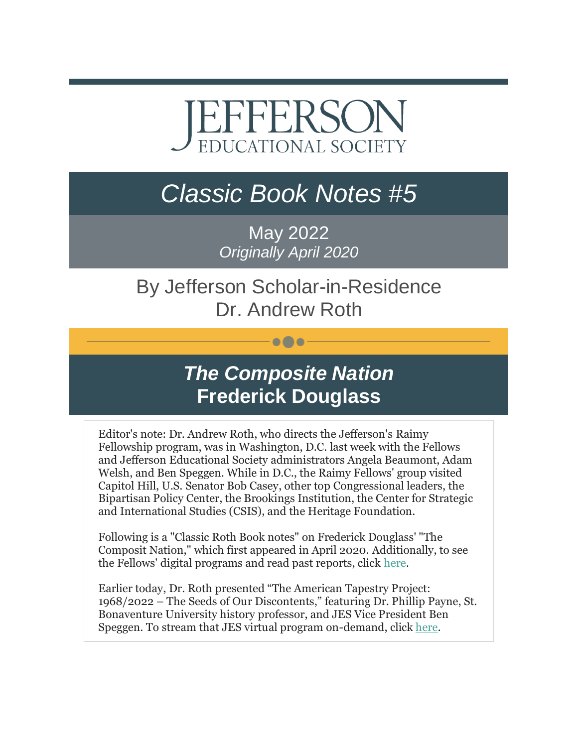# EFFERSON **EDUCATIONAL SOCIETY**

## *Classic Book Notes #5*

May 2022 *Originally April 2020*

#### By Jefferson Scholar-in-Residence Dr. Andrew Roth

 $\bullet\bullet\bullet$ 

### *The Composite Nation* **Frederick Douglass**

Editor's note: Dr. Andrew Roth, who directs the Jefferson's Raimy Fellowship program, was in Washington, D.C. last week with the Fellows and Jefferson Educational Society administrators Angela Beaumont, Adam Welsh, and Ben Speggen. While in D.C., the Raimy Fellows' group visited Capitol Hill, U.S. Senator Bob Casey, other top Congressional leaders, the Bipartisan Policy Center, the Brookings Institution, the Center for Strategic and International Studies (CSIS), and the Heritage Foundation.

Following is a "Classic Roth Book notes" on Frederick Douglass' "The Composit Nation," which first appeared in April 2020. Additionally, to see the Fellows' digital programs and read past reports, click [here.](https://r20.rs6.net/tn.jsp?f=001499iDGBfUeShhPn-cH3MRKBHL0yr9CN-uOtXM4ZdQI14Nomu6sCKSN_zkq8Yr9E2nt55qW6oq3W_H1cZL2iKdP9xvodCQcYTaCJLoQGCatOoKm6mMlCzfHXR5gWBYOwVV62d1beQGTwzJioxvam6JZaXwzz5OcyUOv89cF6-lr4assHFiroFqA==&c=hdwzJeD9uBKq3JUvwMd9vTQRLWfKqeD7usGoBMmiQzo_C5AOtWuEFw==&ch=1mFhp_d_CrQbyCuYhn35vEuHZWY7GixXOcnv0wiXUy_FQL0cId__DQ==)

Earlier today, Dr. Roth presented "The American Tapestry Project: 1968/2022 – The Seeds of Our Discontents," featuring Dr. Phillip Payne, St. Bonaventure University history professor, and JES Vice President Ben Speggen. To stream that JES virtual program on-demand, click [here.](https://r20.rs6.net/tn.jsp?f=001499iDGBfUeShhPn-cH3MRKBHL0yr9CN-uOtXM4ZdQI14Nomu6sCKSEvHcl-omaDFPsl18Jf08c8ryEvRsscxoJyc1UWoCVjsxVBAUagGKzAcgGa0spiZzw8l92Flgwd2sLwTApviUVxrb4fDXUHyduzjYauGaZDkCzL2Bl88rnM=&c=hdwzJeD9uBKq3JUvwMd9vTQRLWfKqeD7usGoBMmiQzo_C5AOtWuEFw==&ch=1mFhp_d_CrQbyCuYhn35vEuHZWY7GixXOcnv0wiXUy_FQL0cId__DQ==)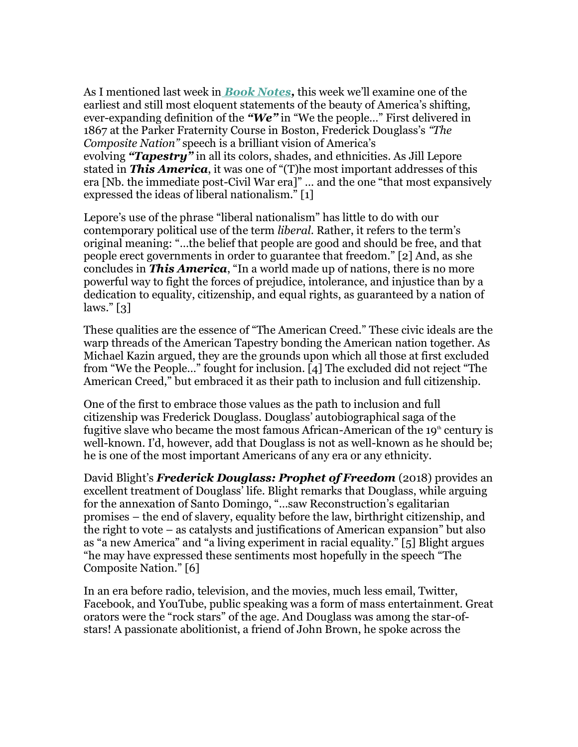As I mentioned last week in *[Book Notes,](https://r20.rs6.net/tn.jsp?f=001499iDGBfUeShhPn-cH3MRKBHL0yr9CN-uOtXM4ZdQI14Nomu6sCKSAkSksaPi12miK9sPAO0GoCTFywBWjgRGec4YCvQY9lGnIQa_T8lwTKo0pdCS6QibZ-AHl5EGYHbeSFQZ6b-OCPPFTyIMW8WCg==&c=hdwzJeD9uBKq3JUvwMd9vTQRLWfKqeD7usGoBMmiQzo_C5AOtWuEFw==&ch=1mFhp_d_CrQbyCuYhn35vEuHZWY7GixXOcnv0wiXUy_FQL0cId__DQ==)* this week we'll examine one of the earliest and still most eloquent statements of the beauty of America's shifting, ever-expanding definition of the *"We"* in "We the people…" First delivered in 1867 at the Parker Fraternity Course in Boston, Frederick Douglass's *"The Composite Nation"* speech is a brilliant vision of America's evolving *"Tapestry"* in all its colors, shades, and ethnicities. As Jill Lepore stated in *This America*, it was one of "(T)he most important addresses of this era [Nb. the immediate post-Civil War era]" … and the one "that most expansively expressed the ideas of liberal nationalism." [1]

Lepore's use of the phrase "liberal nationalism" has little to do with our contemporary political use of the term *liberal*. Rather, it refers to the term's original meaning: "…the belief that people are good and should be free, and that people erect governments in order to guarantee that freedom." [2] And, as she concludes in *This America*, "In a world made up of nations, there is no more powerful way to fight the forces of prejudice, intolerance, and injustice than by a dedication to equality, citizenship, and equal rights, as guaranteed by a nation of laws." [3]

These qualities are the essence of "The American Creed." These civic ideals are the warp threads of the American Tapestry bonding the American nation together. As Michael Kazin argued, they are the grounds upon which all those at first excluded from "We the People…" fought for inclusion. [4] The excluded did not reject "The American Creed," but embraced it as their path to inclusion and full citizenship.

One of the first to embrace those values as the path to inclusion and full citizenship was Frederick Douglass. Douglass' autobiographical saga of the fugitive slave who became the most famous African-American of the  $19<sup>th</sup>$  century is well-known. I'd, however, add that Douglass is not as well-known as he should be; he is one of the most important Americans of any era or any ethnicity.

David Blight's *Frederick Douglass: Prophet of Freedom* (2018) provides an excellent treatment of Douglass' life. Blight remarks that Douglass, while arguing for the annexation of Santo Domingo, "…saw Reconstruction's egalitarian promises – the end of slavery, equality before the law, birthright citizenship, and the right to vote – as catalysts and justifications of American expansion" but also as "a new America" and "a living experiment in racial equality." [5] Blight argues "he may have expressed these sentiments most hopefully in the speech "The Composite Nation." [6]

In an era before radio, television, and the movies, much less email, Twitter, Facebook, and YouTube, public speaking was a form of mass entertainment. Great orators were the "rock stars" of the age. And Douglass was among the star-ofstars! A passionate abolitionist, a friend of John Brown, he spoke across the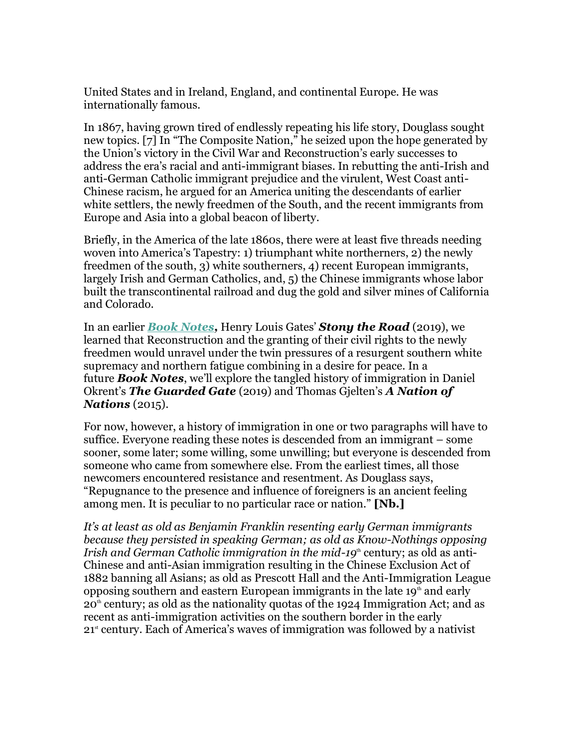United States and in Ireland, England, and continental Europe. He was internationally famous.

In 1867, having grown tired of endlessly repeating his life story, Douglass sought new topics. [7] In "The Composite Nation," he seized upon the hope generated by the Union's victory in the Civil War and Reconstruction's early successes to address the era's racial and anti-immigrant biases. In rebutting the anti-Irish and anti-German Catholic immigrant prejudice and the virulent, West Coast anti-Chinese racism, he argued for an America uniting the descendants of earlier white settlers, the newly freedmen of the South, and the recent immigrants from Europe and Asia into a global beacon of liberty.

Briefly, in the America of the late 1860s, there were at least five threads needing woven into America's Tapestry: 1) triumphant white northerners, 2) the newly freedmen of the south, 3) white southerners, 4) recent European immigrants, largely Irish and German Catholics, and, 5) the Chinese immigrants whose labor built the transcontinental railroad and dug the gold and silver mines of California and Colorado.

In an earlier *[Book Notes,](https://r20.rs6.net/tn.jsp?f=001499iDGBfUeShhPn-cH3MRKBHL0yr9CN-uOtXM4ZdQI14Nomu6sCKSPA8OMIbTQSh7DcmFfdfBpx521EwDG32dSVYb0V_SbMiczUcGBBNRlfdpcashMb22TV_zId0m0la74Cv-um41-u-hGVQfZxIhLY1rDqzkKFlAjUONPGDxsBiXYPMevsmSa3buxeM5aRljuMX0wTJgvNtgvp7_7F372ZvhRH6XRfIUyxE3AFpHjNQKeajCDO-J0pVFk2gj--G&c=hdwzJeD9uBKq3JUvwMd9vTQRLWfKqeD7usGoBMmiQzo_C5AOtWuEFw==&ch=1mFhp_d_CrQbyCuYhn35vEuHZWY7GixXOcnv0wiXUy_FQL0cId__DQ==)* Henry Louis Gates' *Stony the Road* (2019), we learned that Reconstruction and the granting of their civil rights to the newly freedmen would unravel under the twin pressures of a resurgent southern white supremacy and northern fatigue combining in a desire for peace. In a future *Book Notes*, we'll explore the tangled history of immigration in Daniel Okrent's *The Guarded Gate* (2019) and Thomas Gjelten's *A Nation of Nations* (2015).

For now, however, a history of immigration in one or two paragraphs will have to suffice. Everyone reading these notes is descended from an immigrant – some sooner, some later; some willing, some unwilling; but everyone is descended from someone who came from somewhere else. From the earliest times, all those newcomers encountered resistance and resentment. As Douglass says, "Repugnance to the presence and influence of foreigners is an ancient feeling among men. It is peculiar to no particular race or nation." **[Nb.]**

*It's at least as old as Benjamin Franklin resenting early German immigrants because they persisted in speaking German; as old as Know-Nothings opposing Irish and German Catholic immigration in the mid-19<sup>th</sup> century; as old as anti-*Chinese and anti-Asian immigration resulting in the Chinese Exclusion Act of 1882 banning all Asians; as old as Prescott Hall and the Anti-Immigration League opposing southern and eastern European immigrants in the late  $19<sup>th</sup>$  and early  $20<sup>th</sup>$  century; as old as the nationality quotas of the 1924 Immigration Act; and as recent as anti-immigration activities on the southern border in the early  $21<sup>st</sup>$  century. Each of America's waves of immigration was followed by a nativist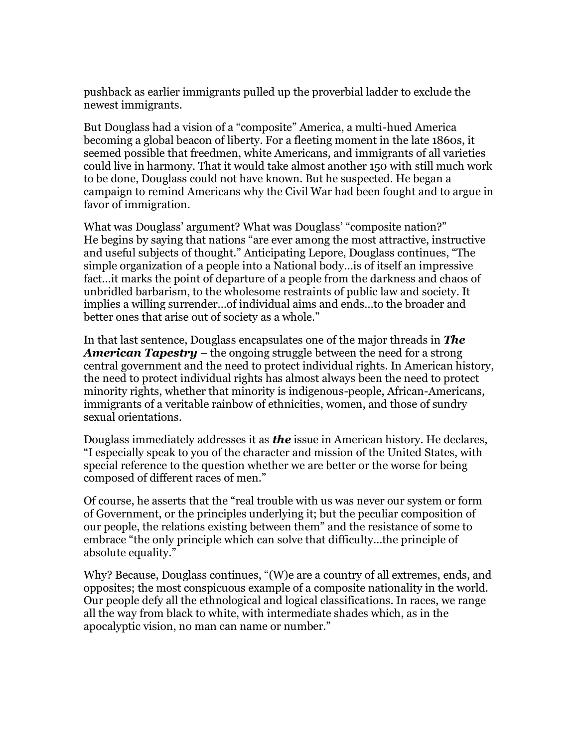pushback as earlier immigrants pulled up the proverbial ladder to exclude the newest immigrants.

But Douglass had a vision of a "composite" America, a multi-hued America becoming a global beacon of liberty. For a fleeting moment in the late 1860s, it seemed possible that freedmen, white Americans, and immigrants of all varieties could live in harmony. That it would take almost another 150 with still much work to be done, Douglass could not have known. But he suspected. He began a campaign to remind Americans why the Civil War had been fought and to argue in favor of immigration.

What was Douglass' argument? What was Douglass' "composite nation?" He begins by saying that nations "are ever among the most attractive, instructive and useful subjects of thought." Anticipating Lepore, Douglass continues, "The simple organization of a people into a National body…is of itself an impressive fact…it marks the point of departure of a people from the darkness and chaos of unbridled barbarism, to the wholesome restraints of public law and society. It implies a willing surrender…of individual aims and ends…to the broader and better ones that arise out of society as a whole."

In that last sentence, Douglass encapsulates one of the major threads in *The American Tapestry* – the ongoing struggle between the need for a strong central government and the need to protect individual rights. In American history, the need to protect individual rights has almost always been the need to protect minority rights, whether that minority is indigenous-people, African-Americans, immigrants of a veritable rainbow of ethnicities, women, and those of sundry sexual orientations.

Douglass immediately addresses it as *the* issue in American history. He declares, "I especially speak to you of the character and mission of the United States, with special reference to the question whether we are better or the worse for being composed of different races of men."

Of course, he asserts that the "real trouble with us was never our system or form of Government, or the principles underlying it; but the peculiar composition of our people, the relations existing between them" and the resistance of some to embrace "the only principle which can solve that difficulty…the principle of absolute equality."

Why? Because, Douglass continues, "(W)e are a country of all extremes, ends, and opposites; the most conspicuous example of a composite nationality in the world. Our people defy all the ethnological and logical classifications. In races, we range all the way from black to white, with intermediate shades which, as in the apocalyptic vision, no man can name or number."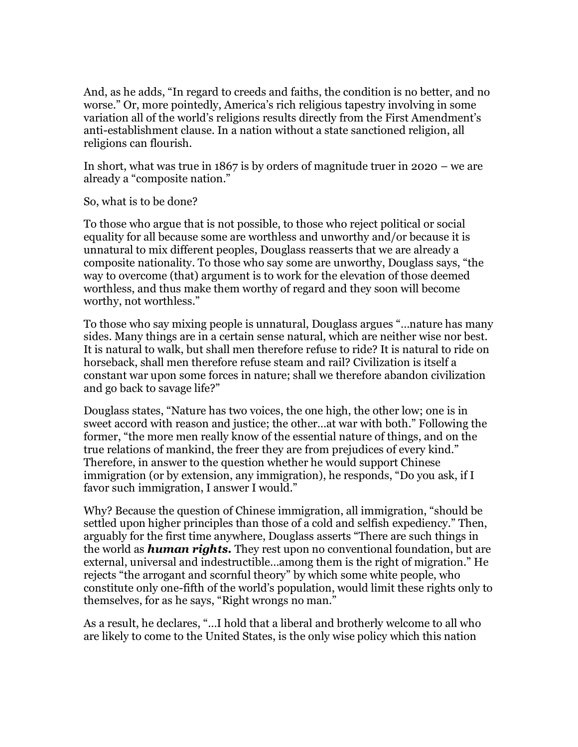And, as he adds, "In regard to creeds and faiths, the condition is no better, and no worse." Or, more pointedly, America's rich religious tapestry involving in some variation all of the world's religions results directly from the First Amendment's anti-establishment clause. In a nation without a state sanctioned religion, all religions can flourish.

In short, what was true in 1867 is by orders of magnitude truer in 2020 – we are already a "composite nation."

So, what is to be done?

To those who argue that is not possible, to those who reject political or social equality for all because some are worthless and unworthy and/or because it is unnatural to mix different peoples, Douglass reasserts that we are already a composite nationality. To those who say some are unworthy, Douglass says, "the way to overcome (that) argument is to work for the elevation of those deemed worthless, and thus make them worthy of regard and they soon will become worthy, not worthless."

To those who say mixing people is unnatural, Douglass argues "…nature has many sides. Many things are in a certain sense natural, which are neither wise nor best. It is natural to walk, but shall men therefore refuse to ride? It is natural to ride on horseback, shall men therefore refuse steam and rail? Civilization is itself a constant war upon some forces in nature; shall we therefore abandon civilization and go back to savage life?"

Douglass states, "Nature has two voices, the one high, the other low; one is in sweet accord with reason and justice; the other…at war with both." Following the former, "the more men really know of the essential nature of things, and on the true relations of mankind, the freer they are from prejudices of every kind." Therefore, in answer to the question whether he would support Chinese immigration (or by extension, any immigration), he responds, "Do you ask, if I favor such immigration, I answer I would."

Why? Because the question of Chinese immigration, all immigration, "should be settled upon higher principles than those of a cold and selfish expediency." Then, arguably for the first time anywhere, Douglass asserts "There are such things in the world as *human rights.* They rest upon no conventional foundation, but are external, universal and indestructible…among them is the right of migration." He rejects "the arrogant and scornful theory" by which some white people, who constitute only one-fifth of the world's population, would limit these rights only to themselves, for as he says, "Right wrongs no man."

As a result, he declares, "…I hold that a liberal and brotherly welcome to all who are likely to come to the United States, is the only wise policy which this nation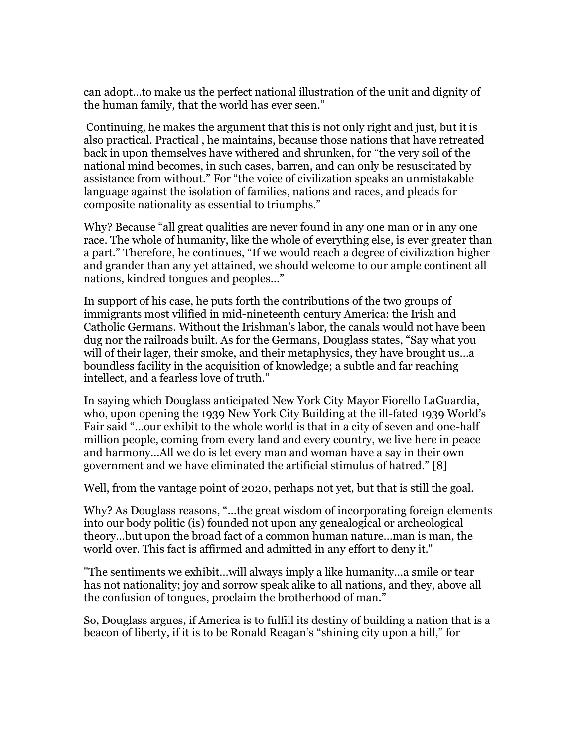can adopt…to make us the perfect national illustration of the unit and dignity of the human family, that the world has ever seen."

Continuing, he makes the argument that this is not only right and just, but it is also practical. Practical , he maintains, because those nations that have retreated back in upon themselves have withered and shrunken, for "the very soil of the national mind becomes, in such cases, barren, and can only be resuscitated by assistance from without." For "the voice of civilization speaks an unmistakable language against the isolation of families, nations and races, and pleads for composite nationality as essential to triumphs."

Why? Because "all great qualities are never found in any one man or in any one race. The whole of humanity, like the whole of everything else, is ever greater than a part." Therefore, he continues, "If we would reach a degree of civilization higher and grander than any yet attained, we should welcome to our ample continent all nations, kindred tongues and peoples…"

In support of his case, he puts forth the contributions of the two groups of immigrants most vilified in mid-nineteenth century America: the Irish and Catholic Germans. Without the Irishman's labor, the canals would not have been dug nor the railroads built. As for the Germans, Douglass states, "Say what you will of their lager, their smoke, and their metaphysics, they have brought us...a boundless facility in the acquisition of knowledge; a subtle and far reaching intellect, and a fearless love of truth."

In saying which Douglass anticipated New York City Mayor Fiorello LaGuardia, who, upon opening the 1939 New York City Building at the ill-fated 1939 World's Fair said "…our exhibit to the whole world is that in a city of seven and one-half million people, coming from every land and every country, we live here in peace and harmony…All we do is let every man and woman have a say in their own government and we have eliminated the artificial stimulus of hatred." [8]

Well, from the vantage point of 2020, perhaps not yet, but that is still the goal.

Why? As Douglass reasons, "…the great wisdom of incorporating foreign elements into our body politic (is) founded not upon any genealogical or archeological theory…but upon the broad fact of a common human nature…man is man, the world over. This fact is affirmed and admitted in any effort to deny it."

"The sentiments we exhibit…will always imply a like humanity…a smile or tear has not nationality; joy and sorrow speak alike to all nations, and they, above all the confusion of tongues, proclaim the brotherhood of man."

So, Douglass argues, if America is to fulfill its destiny of building a nation that is a beacon of liberty, if it is to be Ronald Reagan's "shining city upon a hill," for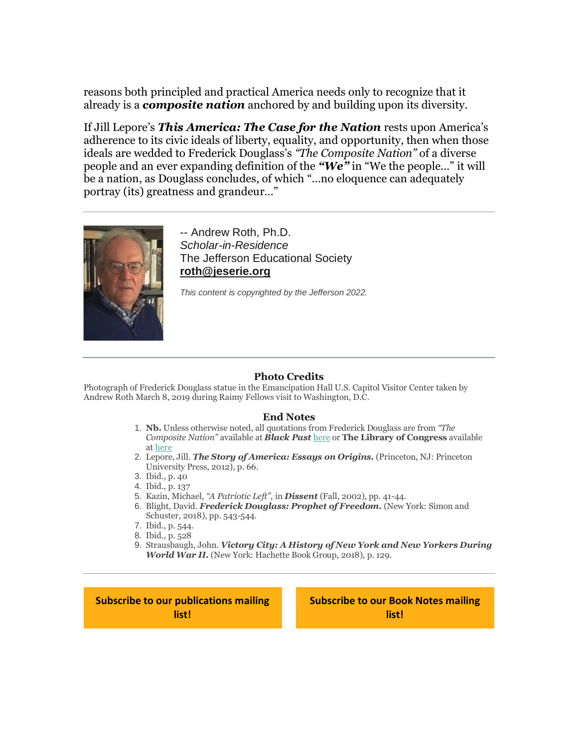reasons both principled and practical America needs only to recognize that it already is a *composite nation* anchored by and building upon its diversity.

If Jill Lepore's *This America: The Case for the Nation* rests upon America's adherence to its civic ideals of liberty, equality, and opportunity, then when those ideals are wedded to Frederick Douglass's *"The Composite Nation"* of a diverse people and an ever expanding definition of the *"We"* in "We the people…" it will be a nation, as Douglass concludes, of which "…no eloquence can adequately portray (its) greatness and grandeur…"



-- Andrew Roth, Ph.D. *Scholar-in-Residence* The Jefferson Educational Society **[roth@jeserie.org](mailto:roth@jeserie.org)**

*This content is copyrighted by the Jefferson 2022.*

#### **Photo Credits**

Photograph of Frederick Douglass statue in the Emancipation Hall U.S. Capitol Visitor Center taken by Andrew Roth March 8, 2019 during Raimy Fellows visit to Washington, D.C.

#### **End Notes**

- 1. **Nb.** Unless otherwise noted, all quotations from Frederick Douglass are from *"The Composite Nation"* available at *Black Past* [here](https://r20.rs6.net/tn.jsp?f=001499iDGBfUeShhPn-cH3MRKBHL0yr9CN-uOtXM4ZdQI14Nomu6sCKSKPDKbLo2hFDJFHSviTqBMg2-KHVO-mXh3wYy-hmEZQhLO0YVk9hd3h7SuFetsijL0Mwj-HHpNcflZ141feq9Vduipo3XFxSztAnWy0Y_1Y5XF_ZliUpVi39KO8JQSi1AvcV7SVCVIwrApsBl4WNouQlcS7wPS0APJgAbc3GuV9RJ06KnrH407GO5KFKfMIvR9USSbH6hnvj&c=hdwzJeD9uBKq3JUvwMd9vTQRLWfKqeD7usGoBMmiQzo_C5AOtWuEFw==&ch=1mFhp_d_CrQbyCuYhn35vEuHZWY7GixXOcnv0wiXUy_FQL0cId__DQ==) or **The Library of Congress** available at [here](https://r20.rs6.net/tn.jsp?f=001499iDGBfUeShhPn-cH3MRKBHL0yr9CN-uOtXM4ZdQI14Nomu6sCKSPA8OMIbTQSh79vqtjK843JSeXYodHdV7RTd2iOCz2aMl4qhXqJ1UX8BF8bFJqBv4vmA6ufHwCVx-QzmIcGY7cG4E72HksMQiikEj-UKWY62wsBWYNmChlDqnLssXNhPyw==&c=hdwzJeD9uBKq3JUvwMd9vTQRLWfKqeD7usGoBMmiQzo_C5AOtWuEFw==&ch=1mFhp_d_CrQbyCuYhn35vEuHZWY7GixXOcnv0wiXUy_FQL0cId__DQ==)
- 2. Lepore, Jill. *The Story of America: Essays on Origins.* (Princeton, NJ: Princeton University Press, 2012), p. 66.
- 3. Ibid., p. 40
- 4. Ibid., p. 137
- 5. Kazin, Michael, *"A Patriotic Left",* in *Dissent* (Fall, 2002), pp. 41-44.
- 6. Blight, David. *Frederick Douglass: Prophet of Freedom.* (New York: Simon and Schuster, 2018), pp. 543-544.
- 7. Ibid., p. 544.
- 8. Ibid., p. 528
- 9. Strausbaugh, John. *Victory City: A History of New York and New Yorkers During World War II.* (New York: Hachette Book Group, 2018), p. 129.

**[Subscribe to our publications mailing](https://r20.rs6.net/tn.jsp?f=001499iDGBfUeShhPn-cH3MRKBHL0yr9CN-uOtXM4ZdQI14Nomu6sCKSIKrDe6I4iM-BkJsX_tc63tVdVeJippEr7nLH5V9LD7WcoG_2V4nVMMfTsMn6RhljU-eDQDnLZVI8aSbm78tEp8VRSZpDML4vBEsW6Lx57D7A9ARlOBoI4IhTUtALmnuitMaAA_uKgPPF9PcQZz_yvUGFph7K4ZD9VvN33ZrRil-aXlxd71FhXgFK4FRuhZ9kuZeN5Pg7UJsp_Q_W9LY8IMW9bLAqw-CsPIhk6UFvaqFNMOTPWUFUzq3q3y4CqqU4emMVzGmTcrBoFdGANOrGqHySmAec_uXvaEScKstzvJgG8neaJ5PKEY=&c=hdwzJeD9uBKq3JUvwMd9vTQRLWfKqeD7usGoBMmiQzo_C5AOtWuEFw==&ch=1mFhp_d_CrQbyCuYhn35vEuHZWY7GixXOcnv0wiXUy_FQL0cId__DQ==)  [list!](https://r20.rs6.net/tn.jsp?f=001499iDGBfUeShhPn-cH3MRKBHL0yr9CN-uOtXM4ZdQI14Nomu6sCKSIKrDe6I4iM-BkJsX_tc63tVdVeJippEr7nLH5V9LD7WcoG_2V4nVMMfTsMn6RhljU-eDQDnLZVI8aSbm78tEp8VRSZpDML4vBEsW6Lx57D7A9ARlOBoI4IhTUtALmnuitMaAA_uKgPPF9PcQZz_yvUGFph7K4ZD9VvN33ZrRil-aXlxd71FhXgFK4FRuhZ9kuZeN5Pg7UJsp_Q_W9LY8IMW9bLAqw-CsPIhk6UFvaqFNMOTPWUFUzq3q3y4CqqU4emMVzGmTcrBoFdGANOrGqHySmAec_uXvaEScKstzvJgG8neaJ5PKEY=&c=hdwzJeD9uBKq3JUvwMd9vTQRLWfKqeD7usGoBMmiQzo_C5AOtWuEFw==&ch=1mFhp_d_CrQbyCuYhn35vEuHZWY7GixXOcnv0wiXUy_FQL0cId__DQ==)**

**[Subscribe to our Book Notes mailing](https://r20.rs6.net/tn.jsp?f=001499iDGBfUeShhPn-cH3MRKBHL0yr9CN-uOtXM4ZdQI14Nomu6sCKSIKrDe6I4iM-17zHTYQZGo4LG_8ueZqYIPJPRJRsiyXghwtLNqScQgECuq0B4eeEz2-XOq4jkZVKhXr449iyfPTrZXWzNJDPS3VHerDmyQvjig0eLycduizuQpaEf7iJoL1tVf1Jc0YsPlD7moOL79HViisWv-eSeodv7odZB_FrzXm0NNxnF_BRZVaFOgVwqIQcQuMJDQnwoBudAiNjJUpdTu7u1xSl6LrJwEGsvQ7Hk0h7oTSnmIrq2cKEzCopppyQ_iZ_V5Om5MPbHCP5YI2RYMvji90YqV-PHgUXE6V9cGUrHzZR2jo=&c=hdwzJeD9uBKq3JUvwMd9vTQRLWfKqeD7usGoBMmiQzo_C5AOtWuEFw==&ch=1mFhp_d_CrQbyCuYhn35vEuHZWY7GixXOcnv0wiXUy_FQL0cId__DQ==)  [list!](https://r20.rs6.net/tn.jsp?f=001499iDGBfUeShhPn-cH3MRKBHL0yr9CN-uOtXM4ZdQI14Nomu6sCKSIKrDe6I4iM-17zHTYQZGo4LG_8ueZqYIPJPRJRsiyXghwtLNqScQgECuq0B4eeEz2-XOq4jkZVKhXr449iyfPTrZXWzNJDPS3VHerDmyQvjig0eLycduizuQpaEf7iJoL1tVf1Jc0YsPlD7moOL79HViisWv-eSeodv7odZB_FrzXm0NNxnF_BRZVaFOgVwqIQcQuMJDQnwoBudAiNjJUpdTu7u1xSl6LrJwEGsvQ7Hk0h7oTSnmIrq2cKEzCopppyQ_iZ_V5Om5MPbHCP5YI2RYMvji90YqV-PHgUXE6V9cGUrHzZR2jo=&c=hdwzJeD9uBKq3JUvwMd9vTQRLWfKqeD7usGoBMmiQzo_C5AOtWuEFw==&ch=1mFhp_d_CrQbyCuYhn35vEuHZWY7GixXOcnv0wiXUy_FQL0cId__DQ==)**